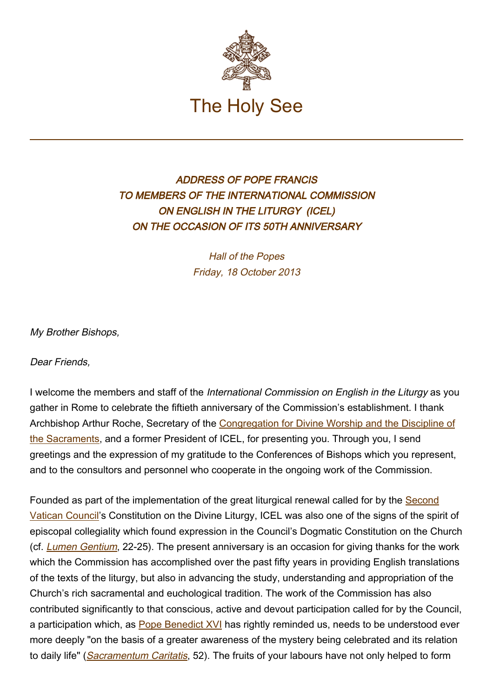

## ADDRESS OF POPE FRANCIS TO MEMBERS OF THE INTERNATIONAL COMMISSION ON ENGLISH IN THE LITURGY (ICEL) ON THE OCCASION OF ITS 50TH ANNIVERSARY

Hall of the Popes Friday, 18 October 2013

My Brother Bishops,

Dear Friends.

I welcome the members and staff of the International Commission on English in the Liturgy as you gather in Rome to celebrate the fiftieth anniversary of the Commission's establishment. I thank Archbishop Arthur Roche, Secretary of the [Congregation for Divine Worship and the Discipline of](http://www.vatican.va/roman_curia/congregations/ccdds/index.htm) [the Sacraments,](http://www.vatican.va/roman_curia/congregations/ccdds/index.htm) and a former President of ICEL, for presenting you. Through you, I send greetings and the expression of my gratitude to the Conferences of Bishops which you represent, and to the consultors and personnel who cooperate in the ongoing work of the Commission.

Founded as part of the implementation of the great liturgical renewal called for by the [Second](http://www.vatican.va/archive/hist_councils/ii_vatican_council/) [Vatican Council](http://www.vatican.va/archive/hist_councils/ii_vatican_council/)'s Constitution on the Divine Liturgy, ICEL was also one of the signs of the spirit of episcopal collegiality which found expression in the Council's Dogmatic Constitution on the Church (cf. [Lumen Gentium](http://www.vatican.va/archive/hist_councils/ii_vatican_council/documents/vat-ii_const_19641121_lumen-gentium_en.html), 22-25). The present anniversary is an occasion for giving thanks for the work which the Commission has accomplished over the past fifty years in providing English translations of the texts of the liturgy, but also in advancing the study, understanding and appropriation of the Church's rich sacramental and euchological tradition. The work of the Commission has also contributed significantly to that conscious, active and devout participation called for by the Council, a participation which, as [Pope Benedict XVI](http://www.vatican.va/holy_father/benedict_xvi/index.htm) has rightly reminded us, needs to be understood ever more deeply "on the basis of a greater awareness of the mystery being celebrated and its relation to daily life" ([Sacramentum Caritatis](http://www.vatican.va/holy_father/benedict_xvi/apost_exhortations/documents/hf_ben-xvi_exh_20070222_sacramentum-caritatis_en.html), 52). The fruits of your labours have not only helped to form